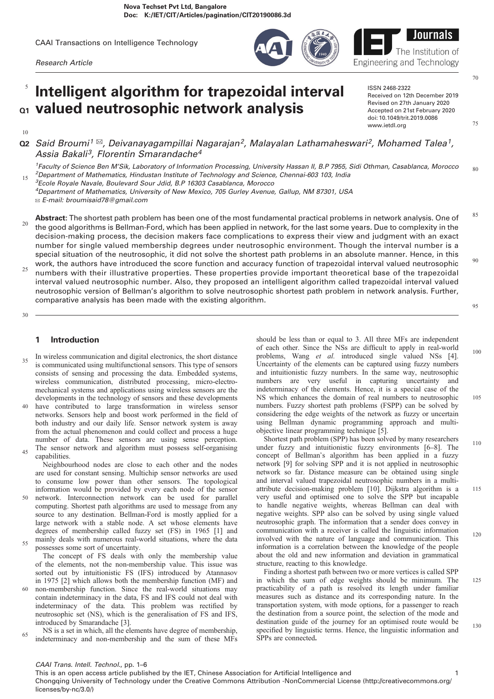CAAI Transactions on Intelligence Technology

Research Article

# Intelligent algorithm for trapezoidal interval Q1 valued neutrosophic network analysis 5

10

- $\alpha$ 2 Said Broumi<sup>1  $\alpha$ </sup>, Deivanayagampillai Nagarajan<sup>2</sup>, Malayalan Lathamaheswari<sup>2</sup>, Mohamed Talea<sup>1</sup>, Assia Bakali<sup>3</sup>, Florentin Smarandache<sup>4</sup>
- <sup>1</sup>Faculty of Science Ben M'Sik, Laboratory of Information Processing, University Hassan II, B.P 7955, Sidi Othman, Casablanca, Morocco <sup>2</sup>Department of Mathematics, Hindustan Institute of Technology and Science, Chennai-603 103, India <sup>3</sup> Ecole Royale Navale, Boulevard Sour Jdid, B.P 16303 Casablanca, Morocco 15 80

4 Department of Mathematics, University of New Mexico, 705 Gurley Avenue, Gallup, NM 87301, USA ✉ E-mail: broumisaid78@gmail.com

- Abstract: The shortest path problem has been one of the most fundamental practical problems in network analysis. One of the good algorithms is Bellman-Ford, which has been applied in network, for the last some years. Due to complexity in the decision-making process, the decision makers face complications to express their view and judgment with an exact number for single valued membership degrees under neutrosophic environment. Though the interval number is a special situation of the neutrosophic, it did not solve the shortest path problems in an absolute manner. Hence, in this work, the authors have introduced the score function and accuracy function of trapezoidal interval valued neutrosophic 20 85 90
- numbers with their illustrative properties. These properties provide important theoretical base of the trapezoidal interval valued neutrosophic number. Also, they proposed an intelligent algorithm called trapezoidal interval valued neutrosophic version of Bellman's algorithm to solve neutrosophic shortest path problem in network analysis. Further, comparative analysis has been made with the existing algorithm. 25 95

30

60

# 1 Introduction

- In wireless communication and digital electronics, the short distance is communicated using multifunctional sensors. This type of sensors consists of sensing and processing the data. Embedded systems, wireless communication, distributed processing, micro-electromechanical systems and applications using wireless sensors are the developments in the technology of sensors and these developments 35
- have contributed to large transformation in wireless sensor networks. Sensors help and boost work performed in the field of both industry and our daily life. Sensor network system is away from the actual phenomenon and could collect and process a huge number of data. These sensors are using sense perception. The sensor network and algorithm must possess self-organising 40 45

capabilities. Neighbourhood nodes are close to each other and the nodes are used for constant sensing. Multichip sensor networks are used to consume low power than other sensors. The topological information would be provided by every each node of the sensor network. Interconnection network can be used for parallel computing. Shortest path algorithms are used to message from any source to any destination. Bellman-Ford is mostly applied for a large network with a stable node. A set whose elements have degrees of membership called fuzzy set (FS) in 1965 [[1](#page-5-0)] and mainly deals with numerous real-world situations, where the data possesses some sort of uncertainty. 50 55

The concept of FS deals with only the membership value of the elements, not the non-membership value. This issue was sorted out by intuitionistic FS (IFS) introduced by Atannasov in 1975 [[2](#page-5-0)] which allows both the membership function (MF) and non-membership function. Since the real-world situations may contain indeterminacy in the data, FS and IFS could not deal with

indeterminacy of the data. This problem was rectified by neutrosophic set (NS), which is the generalisation of FS and IFS, introduced by Smarandache [[3](#page-5-0)].

NS is a set in which, all the elements have degree of membership, indeterminacy and non-membership and the sum of these MFs 65

should be less than or equal to 3. All three MFs are independent of each other. Since the NSs are difficult to apply in real-world problems, Wang et al. introduced single valued NSs [\[4\]](#page-5-0). Uncertainty of the elements can be captured using fuzzy numbers and intuitionistic fuzzy numbers. In the same way, neutrosophic numbers are very useful in capturing uncertainty and indeterminacy of the elements. Hence, it is a special case of the NS which enhances the domain of real numbers to neutrosophic numbers. Fuzzy shortest path problems (FSPP) can be solved by considering the edge weights of the network as fuzzy or uncertain using Bellman dynamic programming approach and multiobjective linear programming technique [[5](#page-5-0)]. 100

Shortest path problem (SPP) has been solved by many researchers under fuzzy and intuitionistic fuzzy environments [\[6](#page-5-0)–[8\]](#page-5-0). The concept of Bellman's algorithm has been applied in a fuzzy network [[9](#page-5-0)] for solving SPP and it is not applied in neutrosophic network so far. Distance measure can be obtained using single and interval valued trapezoidal neutrosophic numbers in a multiattribute decision-making problem [\[10\]](#page-5-0). Dijkstra algorithm is a very useful and optimised one to solve the SPP but incapable to handle negative weights, whereas Bellman can deal with negative weights. SPP also can be solved by using single valued neutrosophic graph. The information that a sender does convey in communication with a receiver is called the linguistic information involved with the nature of language and communication. This information is a correlation between the knowledge of the people about the old and new information and deviation in grammatical structure, reacting to this knowledge. 110 115 120

Finding a shortest path between two or more vertices is called SPP in which the sum of edge weights should be minimum. The practicability of a path is resolved its length under familiar measures such as distance and its corresponding nature. In the transportation system, with mode options, for a passenger to reach the destination from a source point, the selection of the mode and destination guide of the journey for an optimised route would be specified by linguistic terms. Hence, the linguistic information and SPPs are connected.

This is an open access article published by the IET, Chinese Association for Artificial Intelligence and 1 Chongqing University of Technology under the Creative Commons Attribution -NonCommercial License (http://creativecommons.org/ licenses/by-nc/3.0/)

Engineering and Technology ISSN 2468-2322

Received on 12th December 2019 Revised on 27th January 2020 Accepted on 21st February 2020 doi: 10.1049/trit.2019.0086 www.ietdl.org

105



125

130

75

70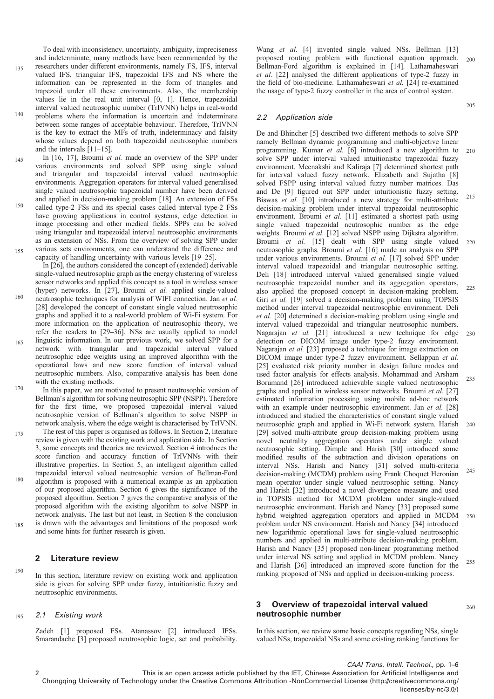135

To deal with inconsistency, uncertainty, ambiguity, impreciseness and indeterminate, many methods have been recommended by the researchers under different environments, namely FS, IFS, interval valued IFS, triangular IFS, trapezoidal IFS and NS where the information can be represented in the form of triangles and trapezoid under all these environments. Also, the membership values lie in the real unit interval [0, 1]. Hence, trapezoidal interval valued neutrosophic number (TrIVNN) helps in real-world

- problems where the information is uncertain and indeterminate between some ranges of acceptable behaviour. Therefore, TrIVNN is the key to extract the MFs of truth, indeterminacy and falsity whose values depend on both trapezoidal neutrosophic numbers and the intervals  $\overline{[11-15]}$  $\overline{[11-15]}$  $\overline{[11-15]}$  $\overline{[11-15]}$  $\overline{[11-15]}$ . 140
- In [\[16](#page-5-0), [17](#page-5-0)], Broumi et al. made an overview of the SPP under various environments and solved SPP using single valued and triangular and trapezoidal interval valued neutrosophic environments. Aggregation operators for interval valued generalised single valued neutrosophic trapezoidal number have been derived and applied in decision-making problem [[18\]](#page-5-0). An extension of FSs 145
- called type-2 FSs and its special cases called interval type-2 FSs have growing applications in control systems, edge detection in image processing and other medical fields. SPPs can be solved using triangular and trapezoidal interval neutrosophic environments as an extension of NSs. From the overview of solving SPP under various sets environments, one can understand the difference and 150 155
- capacity of handling uncertainty with various levels [[19](#page-5-0)–[25\]](#page-5-0). In [[26\]](#page-5-0), the authors considered the concept of (extended) derivable

single-valued neutrosophic graph as the energy clustering of wireless sensor networks and applied this concept as a tool in wireless sensor (hyper) networks. In [\[27](#page-5-0)], Broumi et al. applied single-valued neutrosophic techniques for analysis of WIFI connection. Jan et al. [\[28](#page-5-0)] developed the concept of constant single valued neutrosophic graphs and applied it to a real-world problem of Wi-Fi system. For more information on the application of neutrosophic theory, we refer the readers to [[29](#page-5-0)–[36](#page-5-0)]. NSs are usually applied to model linguistic information. In our previous work, we solved SPP for a network with triangular and trapezoidal interval valued neutrosophic edge weights using an improved algorithm with the operational laws and new score function of interval valued neutrosophic numbers. Also, comparative analysis has been done 160 165

- with the existing methods. In this paper, we are motivated to present neutrosophic version of Bellman's algorithm for solving neutrosophic SPP (NSPP). Therefore for the first time, we proposed trapezoidal interval valued neutrosophic version of Bellman's algorithm to solve NSPP in network analysis, where the edge weight is characterised by TrIVNN. 170
- The rest of this paper is organised as follows. In Section 2, literature review is given with the existing work and application side. In Section 3, some concepts and theories are reviewed. Section 4 introduces the score function and accuracy function of TrIVNNs with their illustrative properties. In Section 5, an intelligent algorithm called trapezoidal interval valued neutrosophic version of Bellman-Ford algorithm is proposed with a numerical example as an application of our proposed algorithm. Section 6 gives the significance of the proposed algorithm. Section 7 gives the comparative analysis of the 175 180
- proposed algorithm with the existing algorithm to solve NSPP in network analysis. The last but not least, in Section 8 the conclusion is drawn with the advantages and limitations of the proposed work and some hints for further research is given. 185

# 2 Literature review

In this section, literature review on existing work and application side is given for solving SPP under fuzzy, intuitionistic fuzzy and neutrosophic environments. 190

#### 2.1 Existing work 195

Zadeh [\[1\]](#page-5-0) proposed FSs. Atanassov [[2](#page-5-0)] introduced IFSs. Smarandache [\[3\]](#page-5-0) proposed neutrosophic logic, set and probability.

Wang et al. [\[4\]](#page-5-0) invented single valued NSs. Bellman [[13\]](#page-5-0) proposed routing problem with functional equation approach. Bellman-Ford algorithm is explained in [[14](#page-5-0)]. Lathamaheswari et al. [[22\]](#page-5-0) analysed the different applications of type-2 fuzzy in the field of bio-medicine. Lathamaheswari et al. [\[24](#page-5-0)] re-examined the usage of type-2 fuzzy controller in the area of control system. 200

## 2.2 Application side

De and Bhincher [[5](#page-5-0)] described two different methods to solve SPP namely Bellman dynamic programming and multi-objective linear programming. Kumar et al. [\[6\]](#page-5-0) introduced a new algorithm to solve SPP under interval valued intuitionistic trapezoidal fuzzy environment. Meenakshi and Kaliraja [[7](#page-5-0)] determined shortest path for interval valued fuzzy network. Elizabeth and Sujatha [\[8\]](#page-5-0) solved FSPP using interval valued fuzzy number matrices. Das and De [[9](#page-5-0)] figured out SPP under intuitionistic fuzzy setting. Biswas et al. [\[10](#page-5-0)] introduced a new strategy for multi-attribute decision-making problem under interval trapezoidal neutrosophic environment. Broumi et al. [\[11](#page-5-0)] estimated a shortest path using single valued trapezoidal neutrosophic number as the edge weights. Broumi et al. [[12\]](#page-5-0) solved NSPP using Dijkstra algorithm. Broumi et al. [\[15](#page-5-0)] dealt with SPP using single valued neutrosophic graphs. Broumi et al. [[16\]](#page-5-0) made an analysis on SPP under various environments. Broumi et al. [\[17](#page-5-0)] solved SPP under interval valued trapezoidal and triangular neutrosophic setting. Deli [\[18](#page-5-0)] introduced interval valued generalised single valued neutrosophic trapezoidal number and its aggregation operators, also applied the proposed concept in decision-making problem. Giri et al. [\[19](#page-5-0)] solved a decision-making problem using TOPSIS method under interval trapezoidal neutrosophic environment. Deli et al. [\[20](#page-5-0)] determined a decision-making problem using single and interval valued trapezoidal and triangular neutrosophic numbers. Nagarajan et al. [\[21](#page-5-0)] introduced a new technique for edge detection on DICOM image under type-2 fuzzy environment. Nagarajan et al. [[23\]](#page-5-0) proposed a technique for image extraction on DICOM image under type-2 fuzzy environment. Sellappan et al. [[25\]](#page-5-0) evaluated risk priority number in design failure modes and used factor analysis for effects analysis. Mohammad and Arsham Borumand [[26\]](#page-5-0) introduced achievable single valued neutrosophic graphs and applied in wireless sensor networks. Broumi et al. [[27\]](#page-5-0) estimated information processing using mobile ad-hoc network with an example under neutrosophic environment. Jan et al. [[28\]](#page-5-0) introduced and studied the characteristics of constant single valued neutrosophic graph and applied in Wi-Fi network system. Harish [[29\]](#page-5-0) solved multi-attribute group decision-making problem using novel neutrality aggregation operators under single valued neutrosophic setting. Dimple and Harish [\[30](#page-5-0)] introduced some modified results of the subtraction and division operations on interval NSs. Harish and Nancy [\[31](#page-5-0)] solved multi-criteria decision-making (MCDM) problem using Frank Choquet Heronian mean operator under single valued neutrosophic setting. Nancy and Harish [[32\]](#page-5-0) introduced a novel divergence measure and used in TOPSIS method for MCDM problem under single-valued neutrosophic environment. Harish and Nancy [\[33](#page-5-0)] proposed some hybrid weighted aggregation operators and applied in MCDM problem under NS environment. Harish and Nancy [\[34](#page-5-0)] introduced new logarithmic operational laws for single-valued neutrosophic numbers and applied in multi-attribute decision-making problem. Harish and Nancy [\[35](#page-5-0)] proposed non-linear programming method under interval NS setting and applied in MCDM problem. Nancy and Harish [[36\]](#page-5-0) introduced an improved score function for the ranking proposed of NSs and applied in decision-making process. 210 215 220 225 230 235  $240$ 245 250 255

# 3 Overview of trapezoidal interval valued neutrosophic number

260

205

In this section, we review some basic concepts regarding NSs, single valued NSs, trapezoidal NSs and some existing ranking functions for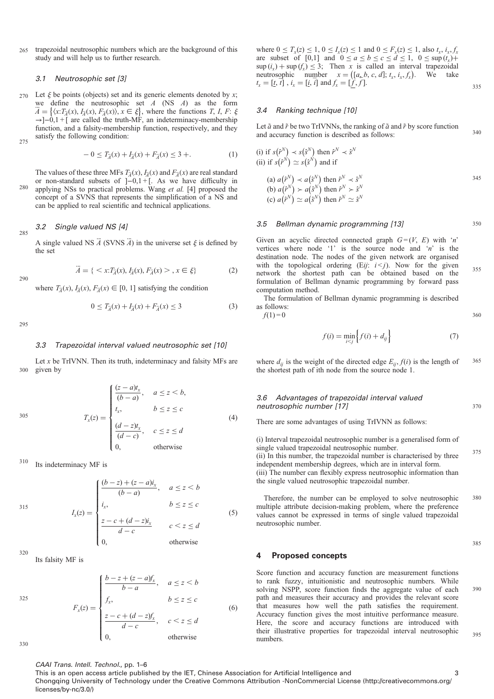trapezoidal neutrosophic numbers which are the background of this study and will help us to further research. 265

#### 3.1 Neutrosophic set [\[3](#page-5-0)]

Let  $\xi$  be points (objects) set and its generic elements denoted by x;<br>we define the neutrosophic set  $A$  (NS  $A$ ) as the form we define the neutrosophic set A (NS A) as the form  $\ddot{A} = \{ \langle x: T_{\dot{A}}(x), F_{\dot{A}}(x), F_{\dot{A}}(x) \rangle, x \in \xi \}$ , where the functions T, I, F:  $\xi \rightarrow -1$ –0,1 + [ are called the truth-MF, an indeterminacy-membership function, and a falsity-membership function, respectively, and they satisfy the following condition: 270 275

$$
-0 \le T_{\tilde{A}}(x) + T_{\tilde{A}}(x) + F_{\tilde{A}}(x) \le 3 +.
$$
 (1)

The values of these three MFs  $T_{\vec{A}}(x)$ ,  $I_{\vec{A}}(x)$  and  $F_{\vec{A}}(x)$  are real standard or non-standard subsets of ]−0,1 + [. As we have difficulty in applying NSs to practical problems. Wang et al. [\[4\]](#page-5-0) proposed the concept of a SVNS that represents the simplification of a NS and  $280$ 

can be applied to real scientific and technical applications.

#### 3.2 Single valued NS [[4\]](#page-5-0) 285

A single valued NS  $\ddot{A}$  (SVNS  $\dddot{A}$ ) in the universe set  $\xi$  is defined by the set

$$
\ddot{A} = \{ \langle x: T_{\ddot{A}}(x), F_{\ddot{A}}(x), F_{\ddot{A}}(x) \rangle, x \in \xi \}
$$
 (2)

where  $T_{\vec{a}}(x)$ ,  $I_{\vec{a}}(x)$ ,  $F_{\vec{a}}(x) \in [0, 1]$  satisfying the condition

$$
0 \le T_{\vec{A}}(x) + I_{\vec{A}}(x) + F_{\vec{A}}(x) \le 3 \tag{3}
$$

295

290

#### 3.3 Trapezoidal interval valued neutrosophic set [\[10](#page-5-0)]

Let  $x$  be TrIVNN. Then its truth, indeterminacy and falsity MFs are given by 300

$$
T_x(z) = \begin{cases} \frac{(z-a)t_x}{(b-a)}, & a \leq z < b, \\ t_x, & b \leq z \leq c \\ \frac{(d-z)t_x}{(d-c)}, & c \leq z \leq d \\ 0, & \text{otherwise} \end{cases}
$$
(4)

Its indeterminacy MF is 310

315  
\n
$$
I_x(z) = \begin{cases}\n\frac{(b-z) + (z-a)i_x}{(b-a)}, & a \le z < b \\
i_x, & b \le z \le c \\
\frac{z-c + (d-z)i_x}{d-c} & c < z \le d \\
0, & \text{otherwise}\n\end{cases}
$$
\n(5)

 $320$ 

330

Its falsity MF is

325  

$$
F_x(z) = \begin{cases} \frac{b - z + (z - a)f_x}{b - a}, & a \le z < b \\ f_x, & b \le z \le c \\ \frac{z - c + (d - z)f_x}{d - c}, & c < z \le d \\ 0, & \text{otherwise} \end{cases}
$$
(6)

where  $0 \le T_x(z) \le 1$ ,  $0 \le I_x(z) \le 1$  and  $0 \le F_x(z) \le 1$ , also  $t_x$ ,  $i_x, f_x$ are subset of [0,1] and  $0 \le a \le b \le c \le d \le 1$ ,  $0 \le \sup(t_r)+1$  $\sup(i_x) + \sup(f_x) \leq 3$ ; Then x is called an interval trapezoidal neutrosophic number  $x = (a, b, c, d); t_x, i_x, f_x$ ). We take  $t_x = [t, t]$ ,  $i_x = [t, i]$  and  $f_x = [f, f]$ .

#### 3.4 Ranking technique [[10\]](#page-5-0)

Let  $\tilde{a}$  and  $\tilde{r}$  be two TrIVNNs, the ranking of  $\tilde{a}$  and  $\tilde{r}$  by score function and accuracy function is described as follows: 340

(i) if 
$$
s(\hat{r}^N) \prec s(\hat{s}^N)
$$
 then  $\hat{r}^N \prec \hat{s}^N$   
\n(ii) if  $s(\hat{r}^N) \simeq s(\hat{s}^N)$  and if  
\n(a)  $a(\hat{r}^N) \prec a(\hat{s}^N)$  then  $\hat{r}^N \prec \hat{s}^N$   
\n(b)  $a(\hat{r}^N) \succ a(\hat{s}^N)$  then  $\hat{r}^N \succ \hat{s}^N$   
\n(c)  $a(\hat{r}^N) \simeq a(\hat{s}^N)$  then  $\hat{r}^N \simeq \hat{s}^N$ 

#### 3.5 Bellman dynamic programming [\[13](#page-5-0)]

Given an acyclic directed connected graph  $G = (V, E)$  with 'n' vertices where node '1' is the source node and ' $n$ ' is the destination node. The nodes of the given network are organised with the topological ordering  $(Eij: i \le j)$ . Now for the given network the shortest path can be obtained based on the formulation of Bellman dynamic programming by forward pass computation method. 355

The formulation of Bellman dynamic programming is described as follows:

 $f(1)=0$ 

$$
f(i) = \min_{i < j} \left\{ f(i) + d_{ij} \right\} \tag{7}
$$

where  $d_{ii}$  is the weight of the directed edge  $E_{ii}$ ,  $f(i)$  is the length of the shortest path of ith node from the source node 1. 365

#### 3.6 Advantages of trapezoidal interval valued neutrosophic number [\[17](#page-5-0)]

There are some advantages of using TrIVNN as follows:

(i) Interval trapezoidal neutrosophic number is a generalised form of single valued trapezoidal neutrosophic number. (ii) In this number, the trapezoidal number is characterised by three independent membership degrees, which are in interval form. (iii) The number can flexibly express neutrosophic information than the single valued neutrosophic trapezoidal number.

Therefore, the number can be employed to solve neutrosophic multiple attribute decision-making problem, where the preference values cannot be expressed in terms of single valued trapezoidal neutrosophic number. 380

385

335

350

360

370

375

#### 4 Proposed concepts

Score function and accuracy function are measurement functions to rank fuzzy, intuitionistic and neutrosophic numbers. While solving NSPP, score function finds the aggregate value of each path and measures their accuracy and provides the relevant score that measures how well the path satisfies the requirement. Accuracy function gives the most intuitive performance measure. Here, the score and accuracy functions are introduced with their illustrative properties for trapezoidal interval neutrosophic numbers. 390 395

## CAAI Trans. Intell. Technol., pp. 1–6

This is an open access article published by the IET, Chinese Association for Artificial Intelligence and 3 3 3 Chongqing University of Technology under the Creative Commons Attribution -NonCommercial License (http://creativecommons.org/ licenses/by-nc/3.0/)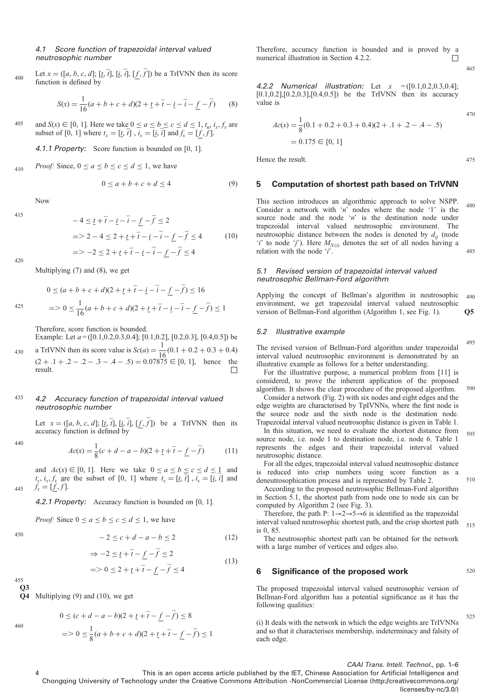#### 4.1 Score function of trapezoidal interval valued neutrosophic number

Let  $x = ([a, b, c, d]; [\underline{t}, \overline{t}], [\underline{i}, \overline{i}], [f, \overline{f}])$  be a TrIVNN then its score function is defined by 400

$$
S(x) = \frac{1}{16}(a+b+c+d)(2+\underline{t}+\overline{t}-\underline{i}-\overline{t}-\underline{f}-\overline{f})
$$
 (8)

and  $S(x) \in [0, 1]$ . Here we take  $0 \le a \le b \le c \le d \le 1$ ,  $t_x$ ,  $i_x$ ,  $f_x$  are subset of [0, 1] where  $t_x = [t, \bar{t}]$ ,  $i_x = [t, i]$  and  $f_x = [\underline{f}, \bar{f}]$ . 405

4.1.1 Property: Score function is bounded on [0, 1].

*Proof:* Since,  $0 \le a \le b \le c \le d \le 1$ , we have 410

$$
0 \le a + b + c + d \le 4 \tag{9}
$$

Now

$$
-4 \leq \underline{t} + \overline{t} - \underline{i} - \overline{i} - \underline{f} - \overline{f} \leq 2
$$
  
=  $2 - 4 \leq 2 + \underline{t} + \overline{t} - \underline{i} - \overline{i} - \underline{f} - \overline{f} \leq 4$  (10)  
=  $-2 \leq 2 + \underline{t} + \overline{t} - \underline{i} - \overline{i} - \underline{f} - \overline{f} \leq 4$ 

420

425

430

440

445

450

415

Multiplying (7) and (8), we get

 $0 \le (a + b + c + d)(2 + t + \overline{t} - i - \overline{t} - f - \overline{f}) \le 16$  $=$  > 0  $\leq \frac{1}{16}(a+b+c+d)(2+\underline{t}+\overline{t}-\underline{i}-\overline{t}-\underline{f}-\overline{f}) \leq 1$ 

Therefore, score function is bounded.

Example: Let  $a = ([0.1, 0.2, 0.3, 0.4]; [0.1, 0.2], [0.2, 0.3], [0.4, 0.5])$  be a TrIVNN then its score value is  $Sc(a) = \frac{1}{16}(0.1 + 0.2 + 0.3 + 0.4)$ 

 $(2 + .1 + .2 - .2 - .3 - .4 - .5) = 0.07875 \in [0, 1]$ , hence the result.

#### 4.2 Accuracy function of trapezoidal interval valued neutrosophic number 435

Let  $x = ([a, b, c, d]; [t, t], [t, t], [f, f])$  be a TrIVNN then its accuracy function is defined by

$$
Ac(x) = \frac{1}{8}(c+d-a-b)(2+\underline{t}+\overline{t}-\underline{f}-\overline{f})
$$
 (11)

and  $Ac(x) \in [0, 1]$ . Here we take  $0 \le a \le b \le c \le d \le 1$  and  $t_x$ ,  $i_x$ ,  $f_x$  are the subset of [0, 1] where  $t_x = [\underline{t}, \overline{t}]$ ,  $i_x = [\overline{t}, \overline{t}]$  and  $f_x = [f, f]$ .

4.2.1 Property: Accuracy function is bounded on [0, 1].

 $\bullet$   $\circ$ 

*Proof:* Since  $0 \le a \le b \le c \le d \le 1$ , we have

$$
-2 \le c + d - a - b \le 2 \tag{12}
$$

$$
\Rightarrow -2 \leq \underline{t} + \underline{t} - \underline{f} - \underline{f} \leq 2
$$
  
= 
$$
> 0 \leq 2 + \underline{t} + \overline{t} - \underline{f} - \overline{f} \leq 4
$$
 (13)

 $\Omega$ 455

460

Q4 Multiplying (9) and (10), we get

$$
0 \le (c + d - a - b)(2 + \underline{t} + \overline{t} - \underline{f} - \overline{f}) \le 8
$$
  
=  $0 \le \frac{1}{8}(a + b + c + d)(2 + \underline{t} + \overline{t} - \underline{f} - \overline{f}) \le 1$ 

Therefore, accuracy function is bounded and is proved by a numerical illustration in Section 4.2.2. □

**4.2.2 Numerical illustration:** Let 
$$
x = ([0.1, 0.2, 0.3, 0.4]; [0.1, 0.2], [0.2, 0.3], [0.4, 0.5])
$$
 be the TrIVNN then its accuracy value is

$$
Ac(x) = \frac{1}{8}(0.1 + 0.2 + 0.3 + 0.4)(2 + .1 + .2 - .4 - .5)
$$
  
= 0.175 \in [0, 1]

Hence the result.

## 5 Computation of shortest path based on TrIVNN

This section introduces an algorithmic approach to solve NSPP. Consider a network with 'n' nodes where the node '1' is the source node and the node 'n' is the destination node under trapezoidal interval valued neutrosophic environment. The neutrosophic distance between the nodes is denoted by  $d_{ii}$  (node 'i' to node 'j'). Here  $M_{N(i)}$  denotes the set of all nodes having a relation with the node  $i'$ . 480 485

## 5.1 Revised version of trapezoidal interval valued neutrosophic Bellman-Ford algorithm

Applying the concept of Bellman's algorithm in neutrosophic environment, we get trapezoidal interval valued neutrosophic version of Bellman-Ford algorithm (Algorithm 1, see Fig. [1\)](#page-4-0). Q5 490

#### 5.2 Illustrative example

The revised version of Bellman-Ford algorithm under trapezoidal interval valued neutrosophic environment is demonstrated by an illustrative example as follows for a better understanding. 495

For the illustrative purpose, a numerical problem from [[11\]](#page-5-0) is considered, to prove the inherent application of the proposed algorithm. It shows the clear procedure of the proposed algorithm. 500

Consider a network (Fig. [2](#page-4-0)) with six nodes and eight edges and the edge weights are characterised by TpIVNNs, where the first node is the source node and the sixth node is the destination node. Trapezoidal interval valued neutrosophic distance is given in Table [1](#page-4-0).

In this situation, we need to evaluate the shortest distance from source node, i.e. node 1 to destination node, i.e. node 6. Table [1](#page-4-0) represents the edges and their trapezoidal interval valued neutrosophic distance. 505

For all the edges, trapezoidal interval valued neutrosophic distance is reduced into crisp numbers using score function as a deneutrosophication process and is represented by Table [2](#page-4-0).

According to the proposed neutrosophic Bellman-Ford algorithm in Section 5.1, the shortest path from node one to node six can be computed by Algorithm 2 (see Fig. [3](#page-4-0)).

Therefore, the path P:  $1 \rightarrow 2 \rightarrow 5 \rightarrow 6$  is identified as the trapezoidal interval valued neutrosophic shortest path, and the crisp shortest path is 0, 85.

The neutrosophic shortest path can be obtained for the network with a large number of vertices and edges also.

#### 6 Significance of the proposed work

520

525

510

515

465

470

475

The proposed trapezoidal interval valued neutrosophic version of Bellman-Ford algorithm has a potential significance as it has the following qualities:

(i) It deals with the network in which the edge weights are TrIVNNs and so that it characterises membership, indeterminacy and falsity of each edge.

CAAI Trans. Intell. Technol., pp. 1–6

This is an open access article published by the IET, Chinese Association for Artificial Intelligence and Chongqing University of Technology under the Creative Commons Attribution -NonCommercial License (http://creativecommons.org/ licenses/by-nc/3.0/)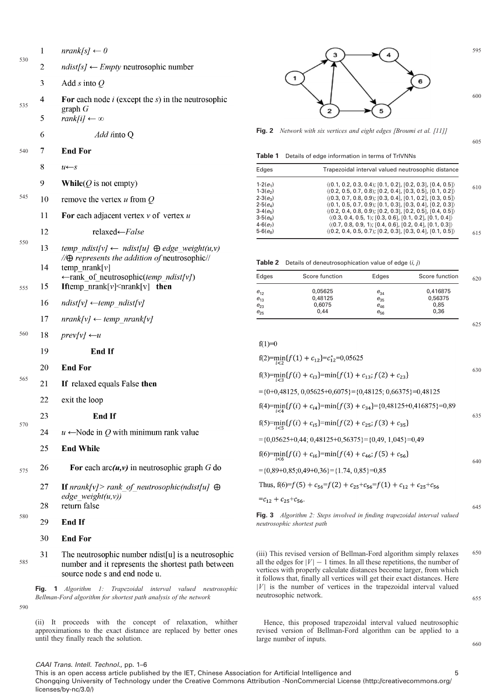<span id="page-4-0"></span>

| 530 | 1        | $nrank[s] \leftarrow 0$                                                                                                                   |
|-----|----------|-------------------------------------------------------------------------------------------------------------------------------------------|
|     | 2        | $ndist[s] \leftarrow Empty$ neutrosophic number                                                                                           |
|     | 3        | Add s into $Q$                                                                                                                            |
| 535 | 4        | For each node $i$ (except the $s$ ) in the neutrosophic<br>graph $G$                                                                      |
|     | 5        | $rank[i] \leftarrow \infty$                                                                                                               |
|     | 6        | Add into Q                                                                                                                                |
| 540 | 7        | <b>End For</b>                                                                                                                            |
|     | 8        | $u \leftarrow s$                                                                                                                          |
|     | 9        | <b>While</b> ( $Q$ is not empty)                                                                                                          |
| 545 | 10       | remove the vertex $u$ from $Q$                                                                                                            |
|     | 11       | For each adjacent vertex $v$ of vertex $u$                                                                                                |
| 550 | 12       | relaxed←False                                                                                                                             |
|     | 13       | temp ndist[v] $\leftarrow$ ndist[u] $\oplus$ edge weight(u,v)<br>$\angle/\bigoplus$ represents the addition of neutrosophic//             |
| 555 | 14<br>15 | temp $\text{nrank}[v]$<br>$\leftarrow$ rank of neutrosophic(temp ndist[v])<br><b>Iftemp</b> $nrank[v] \leq nrank[v]$ then                 |
|     | 16       | $ndist[v] \leftarrow temp \ ndist[v]$                                                                                                     |
|     | 17       | $nrank[v] \leftarrow temp \; nrank[v]$                                                                                                    |
| 560 | 18       | $prev[v] \leftarrow u$                                                                                                                    |
|     | 19       | <b>End If</b>                                                                                                                             |
|     | 20       | <b>End For</b>                                                                                                                            |
| 565 | 21       | If relaxed equals False then                                                                                                              |
|     | 22       | exit the loop                                                                                                                             |
|     | 23       | End If                                                                                                                                    |
| 570 | 24       | $u \leftarrow$ Node in Q with minimum rank value                                                                                          |
|     | 25       | <b>End While</b>                                                                                                                          |
|     |          |                                                                                                                                           |
| 575 | 26       | For each $arc(u, v)$ in neutrosophic graph G do                                                                                           |
| 580 | 27       | <b>If</b> $nrank[v]$ rank of neutrosophic(ndist[u] $\oplus$<br>edge weight(u,v))                                                          |
|     | 28       | return false                                                                                                                              |
|     | 29       | <b>End If</b>                                                                                                                             |
|     | 30       | <b>End For</b>                                                                                                                            |
| 585 | 31       | The neutrosophic number ndist[u] is a neutrosophic<br>number and it represents the shortest path between<br>source node s and end node u. |

Fig. 1 Algorithm 1: Trapezoidal interval valued neutrosophic Bellman-Ford algorithm for shortest path analysis of the network

590

(ii) It proceeds with the concept of relaxation, whither approximations to the exact distance are replaced by better ones until they finally reach the solution.



605

660

Fig. 2 Network with six vertices and eight edges [Broumi et al. [\[11](#page-5-0)]]

Table 1 Details of edge information in terms of TrIVNNs

| Edges        | Trapezoidal interval valued neutrosophic distance                          |
|--------------|----------------------------------------------------------------------------|
| $1-2(e_1)$   | $\langle (0.1, 0.2, 0.3, 0.4), [0.1, 0.2], [0.2, 0.3], [0.4, 0.5] \rangle$ |
| $1-3(e_2)$   | $(0.2, 0.5, 0.7, 0.8); [0.2, 0.4], [0.3, 0.5], [0.1, 0.2]$                 |
| $2 - 3(e_2)$ | $(0.3, 0.7, 0.8, 0.9)$ ; [0.3, 0.4], [0.1, 0.2], [0.3, 0.5]                |
| $2-5(e_4)$   | $(0.1, 0.5, 0.7, 0.9)$ ; [0.1, 0.3], [0.3, 0.4], [0.2, 0.3])               |
| $3-4(e_5)$   | $(0.2, 0.4, 0.8, 0.9)$ ; [0.2, 0.3], [0.2, 0.5], [0.4, 0.5]                |
| $3-5(e_6)$   | $(0.3, 0.4, 0.5, 1)$ ; [0.3, 0.6], [0.1, 0.2], [0.1, 0.4])                 |
| $4-6(e_7)$   | $(0.7, 0.8, 0.9, 1)$ ; [0.4, 0.6], [0.2, 0.4], [0.1, 0.3]                  |
| $5 - 6(e_8)$ | $\langle (0.2, 0.4, 0.5, 0.7), [0.2, 0.3], [0.3, 0.4], [0.1, 0.5] \rangle$ |

**Table 2** Details of deneutrosophication value of edge  $(i, j)$ 

| Edges    | Score function | Edges    | Score function |
|----------|----------------|----------|----------------|
| $e_{12}$ | 0,05625        | $e_{34}$ | 0,416875       |
| $e_{13}$ | 0,48125        | $e_{35}$ | 0,56375        |
| $e_{23}$ | 0,6075         | $e_{46}$ | 0,85           |
| $e_{25}$ | 0.44           | $e_{56}$ | 0,36           |

| $f(2)=min_{i\leq 2} {f(1) + c_{12}} = c_{12}^* = 0.05625$                                     |     |
|-----------------------------------------------------------------------------------------------|-----|
| f(3)= $min_{i=3} {f(i) + c_{i3}}$ = $min{f(1) + c_{13}}$ ; $f(2) + c_{23}$                    | 630 |
| $=\{0+0,48125, 0,05625+0,6075\} = \{0,48125, 0,66375\} = 0,48125$                             |     |
| f(4)= $\min_{i \leq 4} \{f(i) + c_{i4}\}$ = $\min\{f(3) + c_{34}\}$ ={0,48125+0,416875}=0,89  |     |
| f(5)= $\min_{i \in \mathbb{R}} \{f(i) + c_{i5}\}$ = $\min\{f(2) + c_{25}; f(3) + c_{35}\}$    | 635 |
| $=\{0,05625+0,44; 0,48125+0,56375\}=\{0,49, 1,045\}=0,49$                                     |     |
| $f(6)=\min_{i\leq 6} {f(i)+c_{i6}}=\min{f(4)+c_{46};f(5)+c_{56}}$                             | 640 |
| $=\{0,89+0,85;0,49+0,36\} = \{1.74, 0,85\} = 0,85$                                            |     |
| Thus, f(6)=f(5) + $c_{56}$ =f(2) + $c_{25}$ + $c_{56}$ =f(1) + $c_{12}$ + $c_{25}$ + $c_{56}$ |     |
| $=c_{12}+c_{25}+c_{56}$                                                                       |     |
|                                                                                               | 645 |

Fig. 3 Algorithm 2: Steps involved in finding trapezoidal interval valued neutrosophic shortest path

(iii) This revised version of Bellman-Ford algorithm simply relaxes all the edges for  $|V| - 1$  times. In all these repetitions, the number of vertices with properly calculate distances become larger, from which it follows that, finally all vertices will get their exact distances. Here  $|V|$  is the number of vertices in the trapezoidal interval valued neutrosophic network. 650 655

Hence, this proposed trapezoidal interval valued neutrosophic revised version of Bellman-Ford algorithm can be applied to a large number of inputs.

CAAI Trans. Intell. Technol., pp. 1–6

This is an open access article published by the IET, Chinese Association for Artificial Intelligence and 5 5 Chongqing University of Technology under the Creative Commons Attribution -NonCommercial License (http://creativecommons.org/ licenses/by-nc/3.0/)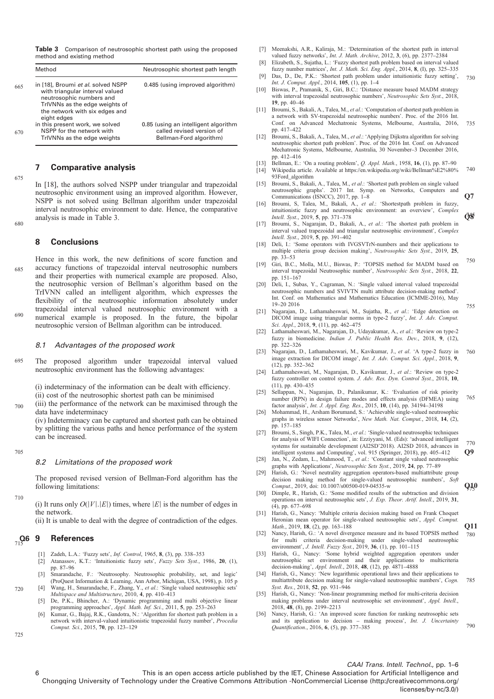<span id="page-5-0"></span>Table 3 Comparison of neutrosophic shortest path using the proposed method and existing method

| Method                                                                                                                                                                               | Neutrosophic shortest path length                                                            |
|--------------------------------------------------------------------------------------------------------------------------------------------------------------------------------------|----------------------------------------------------------------------------------------------|
| in [18], Broumi et al. solved NSPP<br>with triangular interval valued<br>neutrosophic numbers and<br>TrIVNNs as the edge weights of<br>the network with six edges and<br>eight edges | 0.485 (using improved algorithm)                                                             |
| in this present work, we solved<br>NSPP for the network with<br>TrIVNNs as the edge weights                                                                                          | 0.85 (using an intelligent algorithm<br>called revised version of<br>Bellman-Ford algorithm) |

# 7 Comparative analysis

675

680

In [18], the authors solved NSPP under triangular and trapezoidal neutrosophic environment using an improved algorithm. However, NSPP is not solved using Bellman algorithm under trapezoidal interval neutrosophic environment to date. Hence, the comparative analysis is made in Table 3.

# 8 Conclusions

Hence in this work, the new definitions of score function and accuracy functions of trapezoidal interval neutrosophic numbers and their properties with numerical example are proposed. Also, the neutrosophic version of Bellman's algorithm based on the TrIVNN called an intelligent algorithm, which expresses the flexibility of the neutrosophic information absolutely under trapezoidal interval valued neutrosophic environment with a numerical example is proposed. In the future, the bipolar neutrosophic version of Bellman algorithm can be introduced. 685 690

#### 8.1 Advantages of the proposed work

The proposed algorithm under trapezoidal interval valued neutrosophic environment has the following advantages: 695

(i) indeterminacy of the information can be dealt with efficiency.

(ii) cost of the neutrosophic shortest path can be minimised (iii) the performance of the network can be maximised through the data have indeterminacy 700

(iv) Indeterminacy can be captured and shortest path can be obtained by splitting the various paths and hence performance of the system can be increased.

705

#### 8.2 Limitations of the proposed work

The proposed revised version of Bellman-Ford algorithm has the following limitations:

710

(i) It runs only  $O(|V|, |E|)$  times, where  $|E|$  is the number of edges in the network.

(ii) It is unable to deal with the degree of contradiction of the edges.

#### **References**  $715$  9

- [1] Zadeh, L.A.: 'Fuzzy sets', *Inf. Control*, 1965, 8, (3), pp. 338-353
- [2] Atanassov, K.T.: 'Intuitionistic fuzzy sets', Fuzzy Sets Syst., 1986, 20, (1), pp. 87–96
- [3] Smarandache, F.: 'Neutrosophy. Neutrosophic probability, set, and logic'
- (ProQuest Information & Learning, Ann Arbor, Michigan, USA, 1998), p. 105 p [4] Wang, H., Smarandache, F., Zhang, Y., et al.: 'Single valued neutrosophic sets' Multispace and Multistructure, 2010, 4, pp. 410–413
- [5] De, P.K., Bhincher, A.: 'Dynamic programming and multi objective linear programming approaches', Appl. Math. Inf. Sci., 2011, 5, pp. 253–263
- [6] Kumar, G., Bajaj, R.K., Gandotra, N.: 'Algorithm for shortest path problem in a network with interval-valued intuitionistic trapezoidal fuzzy number', Procedia Comput. Sci., 2015, 70, pp. 123–129
- [7] Meenakshi, A.R., Kaliraja, M.: 'Determination of the shortest path in interval valued fuzzy networks', Int. J. Math. Archive, 2012, 3, (6), pp. 2377-2384
- Elizabeth, S., Sujatha, L.: 'Fuzzy shortest path problem based on interval valued fuzzy number matrices', Int. J. Math. Sci. Eng. Appl., 2014, 8, (I), pp. 325–335
- [9] Das, D., De, P.K.: 'Shortest path problem under intuitionistic fuzzy setting', Int. J. Comput. Appl., 2014, 105, (1), pp. 1–4 730
- [10] Biswas, P., Pramanik, S., Giri, B.C.: 'Distance measure based MADM strategy with interval trapezoidal neutrosophic numbers', Neutrosophic Sets Syst., 2018, 19, pp. 40–46
- [11] Broumi, S., Bakali, A., Talea, M., et al.: 'Computation of shortest path problem in a network with SV-trapezoidal neutrosophic numbers'. Proc. of the 2016 Int. Conf. on Advanced Mechatronic Systems, Melbourne, Australia, 2016, pp. 417–422 735
- [12] Broumi, S., Bakali, A., Talea, M., et al.: 'Applying Dijkstra algorithm for solving neutrosophic shortest path problem'. Proc. of the 2016 Int. Conf. on Advanced Mechatronic Systems, Melbourne, Australia, 30 November–3 December 2016, pp. 412–416
- [13] Bellman, E.: 'On a routing problem', *Q. Appl. Math.*, 1958, **16**, (1), pp. 87-90 [14] Wikipedia article. Available at [https://en.wikipedia.org/wiki/Bellman%E2%80%](https://en.wikipedia.org/wiki/Bellman%E2%80%93Ford_algorithm) [93Ford\\_algorithm](https://en.wikipedia.org/wiki/Bellman%E2%80%93Ford_algorithm) 740
- [15] Broumi, S., Bakali, A., Talea, M., et al.: 'Shortest path problem on single valued neutrosophic graphs'. 2017 Int. Symp. on Networks, Computers and Communications (ISNCC), 2017, pp.  $1-8$  Q7
- [16] Broumi, S, Talea, M., Bakali, A., et al.: 'Shortestpath problem in fuzzy, intuitionistic fuzzy and neutrosophic environment: an overview', Complex Intell. Syst., 2019, 5, pp. 371–378 0K
- [17] Broumi, S., Nagarajan, D., Bakali, A., et al.: 'The shortest path problem in interval valued trapezoidal and triangular neutrosophic environment', Complex Intell. Syst., 2019, 5, pp. 391–402
- [18] Deli, I.: 'Some operators with IVGSVTrN-numbers and their applications to multiple criteria group decision making', Neutrosophic Sets Syst., 2019, 25, pp. 33–53
- [19] Giri, B.C., Molla, M.U., Biswas, P.: 'TOPSIS method for MADM based on interval trapezoidal Neutrosophic number', Neutrosophic Sets Syst., 2018, 22, pp. 151–167 750
- [20] Deli, I., Subas, Y., Cagraman, N.: 'Single valued interval valued trapezoidal neutrosophic numbers and SVIVTN multi attribute decision-making method'. Int. Conf. on Mathematics and Mathematics Education (ICMME-2016), May 19–20 2016
- [21] Nagarajan, D., Lathamaheswari, M., Sujatha, R., et al.: 'Edge detection on DICOM image using triangular norms in type-2 fuzzy', Int. J. Adv. Comput. Sci. Appl., 2018, 9, (11), pp. 462–475

755

770

**Q10** 

790

- [22] Lathamaheswari, M., Nagarajan, D., Udayakumar, A., et al.: 'Review on type-2 fuzzy in biomedicine. Indian J. Public Health Res. Dev., 2018, 9, (12), pp. 322–326
- [23] Nagarajan, D., Lathamaheswari, M., Kavikumar, J., et al. 'A type-2 fuzzy in image extraction for DICOM image', Int. J. Adv. Comput. Sci. Appl., 2018, 9, (12), pp. 352–362 760
- [24] Lathamaheswari, M., Nagarajan, D., Kavikumar, J., et al.: 'Review on typefuzzy controller on control system. J. Adv. Res. Dyn. Control Syst., 2018, 10, (11), pp. 430–435
- [25] Sellappan, N., Nagarajan, D., Palanikumar, K.: 'Evaluation of risk priority number (RPN) in design failure modes and effects analysis (DFMEA) using factor analysis', Int. J. Appl. Eng. Res., 2015, 10, (14), pp. 34194–34198 765
- [26] Mohammad, H., Arsham Borumand, S.: 'Achievable single-valued neutrosophic graphs in wireless sensor Networks', New Math. Nat. Comput., 2018, 14, (2), pp. 157–185
- [27] Broumi, S., Singh, P.K., Talea, M., et al.: 'Single-valued neutrosophic techniques for analysis of WIFI Connection', in: Ezziyyani, M. (Eds): 'advanced intelligent systems for sustainable development (AI2SD'2018). AI2SD 2018, advances in intelligent systems and Computing', vol. 915 (Springer, 2018), pp. 405–412 Q9
- [28] Jan, N., Zedam, L., Mahmood, T., et al.: 'Constant single valued neutrosophic graphs with Applications', Neutrosophic Sets Syst., 2019, 24, pp. 77–89
- [29] Harish, G.: 'Novel neutrality aggregation operators-based multiattribute group decision making method for single-valued neutrosophic numbers', Soft Comput., 2019, doi: 10.1007/s00500-019-04535-w
- [30] Dimple, R., Harish, G.: 'Some modified results of the subtraction and division operations on interval neutrosophic sets', J. Exp. Theor. Artif. Intell., 2019, 31, (4), pp. 677–698
- [31] Harish, G., Nancy: 'Multiple criteria decision making based on Frank Choquet Heronian mean operator for single-valued neutrosophic sets', Appl. Comput. Math., 2019, 18, (2), pp. 163–188
- [32] Nancy, Harish, G.: 'A novel divergence measure and its based TOPSIS method for multi criteria decision-making under single-valued neutrosophic environment', J. Intell. Fuzzy Syst., 2019, 36, (1), pp. 101–115 780
- [33] Harish, G., Nancy: 'Some hybrid weighted aggregation operators under neutrosophic set environment and their applications to multicriteria decision-making', Appl. Intell., 2018, 48, (12), pp. 4871–4888
- [34] Harish, G., Nancy: 'New logarithmic operational laws and their applications to multiattribute decision making for single-valued neutrosophic numbers', Cogn. Syst. Res., 2018, 52, pp. 931–946 785
- [35] Harish, G., Nancy: 'Non-linear programming method for multi-criteria decision making problems under interval neutrosophic set environment', Appl. Intell., 2018, 48, (8), pp. 2199–2213
- [36] Nancy, Harish, G.: 'An improved score function for ranking neutrosophic sets and its application to decision – making process', Int. J. Uncertainty Quantification., 2016, 6, (5), pp. 377–385

725

720

# CAAI Trans. Intell. Technol., pp. 1–6

6 This is an open access article published by the IET, Chinese Association for Artificial Intelligence and Chongqing University of Technology under the Creative Commons Attribution -NonCommercial License (http://creativecommons.org/ licenses/by-nc/3.0/)